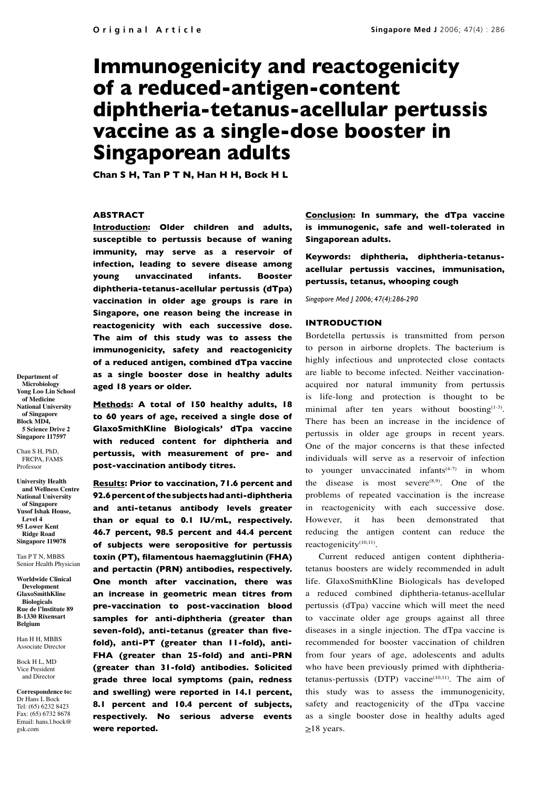# **Immunogenicity and reactogenicity of a reduced-antigen-content diphtheria-tetanus-acellular pertussis vaccine as a single-dose booster in Singaporean adults**

**Chan S H, Tan P T N, Han H H, Bock H L**

#### **ABSTRACT**

**Introduction: Older children and adults, susceptible to pertussis because of waning immunity, may serve as a reservoir of infection, leading to severe disease among young unvaccinated infants. Booster diphtheria-tetanus-acellular pertussis (dTpa) vaccination in older age groups is rare in Singapore, one reason being the increase in reactogenicity with each successive dose. The aim of this study was to assess the immunogenicity, safety and reactogenicity of a reduced antigen, combined dTpa vaccine as a single booster dose in healthy adults aged 18 years or older.**

**Methods: A total of 150 healthy adults, 18 to 60 years of age, received a single dose of GlaxoSmithKline Biologicals' dTpa vaccine with reduced content for diphtheria and pertussis, with measurement of pre- and post-vaccination antibody titres.** 

**Results: Prior to vaccination, 71.6 percent and 92.6 percent of the subjects had anti-diphtheria and anti-tetanus antibody levels greater than or equal to 0.1 IU/mL, respectively. 46.7 percent, 98.5 percent and 44.4 percent of subjects were seropositive for pertussis toxin (PT), filamentous haemagglutinin (FHA) and pertactin (PRN) antibodies, respectively. One month after vaccination, there was an increase in geometric mean titres from pre-vaccination to post-vaccination blood samples for anti-diphtheria (greater than seven-fold), anti-tetanus (greater than fivefold), anti-PT (greater than 11-fold), anti-FHA (greater than 25-fold) and anti-PRN (greater than 31-fold) antibodies. Solicited grade three local symptoms (pain, redness and swelling) were reported in 14.1 percent, 8.1 percent and 10.4 percent of subjects, respectively. No serious adverse events were reported.** 

**Conclusion: In summary, the dTpa vaccine is immunogenic, safe and well-tolerated in Singaporean adults.**

**Keywords: diphtheria, diphtheria-tetanusacellular pertussis vaccines, immunisation, pertussis, tetanus, whooping cough** 

*Singapore Med J 2006; 47(4):286-290*

#### **INTRODUCTION**

Bordetella pertussis is transmitted from person to person in airborne droplets. The bacterium is highly infectious and unprotected close contacts are liable to become infected. Neither vaccinationacquired nor natural immunity from pertussis is life-long and protection is thought to be minimal after ten years without boosting $(1-3)$ . There has been an increase in the incidence of pertussis in older age groups in recent years. One of the major concerns is that these infected individuals will serve as a reservoir of infection to younger unvaccinated infants $(4-7)$  in whom the disease is most severe<sup> $(8,9)$ </sup>. One of the problems of repeated vaccination is the increase in reactogenicity with each successive dose. However, it has been demonstrated that reducing the antigen content can reduce the reactogenicity<sup>(10,11)</sup>.

Current reduced antigen content diphtheriatetanus boosters are widely recommended in adult life. GlaxoSmithKline Biologicals has developed a reduced combined diphtheria-tetanus-acellular pertussis (dTpa) vaccine which will meet the need to vaccinate older age groups against all three diseases in a single injection. The dTpa vaccine is recommended for booster vaccination of children from four years of age, adolescents and adults who have been previously primed with diphtheriatetanus-pertussis (DTP) vaccine $(10,11)$ . The aim of this study was to assess the immunogenicity, safety and reactogenicity of the dTpa vaccine as a single booster dose in healthy adults aged  $\geq$ 18 years.

**Department of Microbiology Yong Loo Lin School of Medicine National University of Singapore Block MD4, 5 Science Drive 2 Singapore 117597** 

Chan S H, PhD, FRCPA, FAMS Professor

**University Health and Wellness Centre National University of Singapore Yusof Ishak House, Level 4 95 Lower Kent Ridge Road Singapore 119078**

T<sub>an</sub> PT N, MBBS Senior Health Physician

**Worldwide Clinical Development GlaxoSmithKline Biologicals Rue de l'lnstitute 89 B-1330 Rixensart Belgium**

Han H H, MBBS Associate Director

Bock H L, MD Vice President and Director

**Correspondence to:** Dr Hans L Bock Tel: (65) 6232 8423 Fax: (65) 6732 8678 Email: hans.l.bock@ gsk.com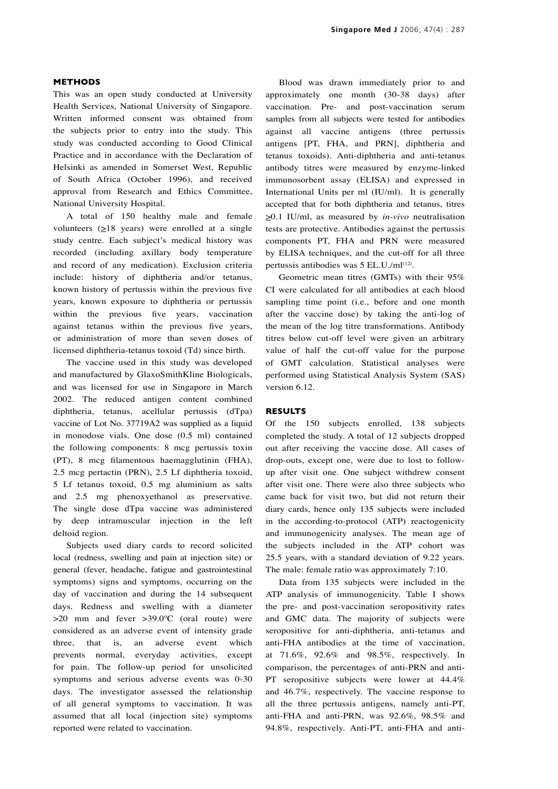### **METHODS**

This was an open study conducted at University Health Services, National University of Singapore. Written informed consent was obtained from the subjects prior to entry into the study. This study was conducted according to Good Clinical Practice and in accordance with the Declaration of Helsinki as amended in Somerset West, Republic of South Africa (October 1996), and received approval from Research and Ethics Committee, National University Hospital.

A total of 150 healthy male and female volunteers  $(\geq 18$  years) were enrolled at a single study centre. Each subject's medical history was recorded (including axillary body temperature and record of any medication). Exclusion criteria include: history of diphtheria and/or tetanus, known history of pertussis within the previous five years, known exposure to diphtheria or pertussis within the previous five years, vaccination against tetanus within the previous five years, or administration of more than seven doses of licensed diphtheria-tetanus toxoid (Td) since birth.

The vaccine used in this study was developed and manufactured by GlaxoSmithKline Biologicals, and was licensed for use in Singapore in March 2002. The reduced antigen content combined diphtheria, tetanus, acellular pertussis (dTpa) vaccine of Lot No. 37719A2 was supplied as a liquid in monodose vials. One dose (0.5 ml) contained the following components: 8 mcg pertussis toxin (PT), 8 mcg filamentous haemagglutinin (FHA), 2.5 mcg pertactin (PRN), 2.5 Lf diphtheria toxoid, 5 Lf tetanus toxoid, 0.5 mg aluminium as salts and 2.5 mg phenoxyethanol as preservative. The single dose dTpa vaccine was administered by deep intramuscular injection in the left deltoid region.

Subjects used diary cards to record solicited local (redness, swelling and pain at injection site) or general (fever, headache, fatigue and gastrointestinal symptoms) signs and symptoms, occurring on the day of vaccination and during the 14 subsequent days. Redness and swelling with a diameter >20 mm and fever >39.0ºC (oral route) were considered as an adverse event of intensity grade three, that is, an adverse event which prevents normal, everyday activities, except for pain. The follow-up period for unsolicited symptoms and serious adverse events was 0-30 days. The investigator assessed the relationship of all general symptoms to vaccination. It was assumed that all local (injection site) symptoms reported were related to vaccination.

Blood was drawn immediately prior to and approximately one month (30-38 days) after vaccination. Pre- and post-vaccination serum samples from all subjects were tested for antibodies against all vaccine antigens (three pertussis antigens [PT, FHA, and PRN], diphtheria and tetanus toxoids). Anti-diphtheria and anti-tetanus antibody titres were measured by enzyme-linked immunosorbent assay (ELISA) and expressed in International Units per ml (IU/ml). It is generally accepted that for both diphtheria and tetanus, titres >0.1 IU/ml, as measured by *in-vivo* neutralisation tests are protective. Antibodies against the pertussis components PT, FHA and PRN were measured by ELISA techniques, and the cut-off for all three pertussis antibodies was  $5$  EL.U./ml<sup>(12)</sup>.

Geometric mean titres (GMTs) with their 95% CI were calculated for all antibodies at each blood sampling time point (i.e., before and one month after the vaccine dose) by taking the anti-log of the mean of the log titre transformations. Antibody titres below cut-off level were given an arbitrary value of half the cut-off value for the purpose of GMT calculation. Statistical analyses were performed using Statistical Analysis System (SAS) version 6.12.

#### **RESULTS**

Of the 150 subjects enrolled, 138 subjects completed the study. A total of 12 subjects dropped out after receiving the vaccine dose. All cases of drop-outs, except one, were due to lost to followup after visit one. One subject withdrew consent after visit one. There were also three subjects who came back for visit two, but did not return their diary cards, hence only 135 subjects were included in the according-to-protocol (ATP) reactogenicity and immunogenicity analyses. The mean age of the subjects included in the ATP cohort was 25.5 years, with a standard deviation of 9.22 years. The male: female ratio was approximately 7:10.

Data from 135 subjects were included in the ATP analysis of immunogenicity. Table I shows the pre- and post-vaccination seropositivity rates and GMC data. The majority of subjects were seropositive for anti-diphtheria, anti-tetanus and anti-FHA antibodies at the time of vaccination, at 71.6%, 92.6% and 98.5%, respectively. In comparison, the percentages of anti-PRN and anti-PT seropositive subjects were lower at 44.4% and 46.7%, respectively. The vaccine response to all the three pertussis antigens, namely anti-PT, anti-FHA and anti-PRN, was 92.6%, 98.5% and 94.8%, respectively. Anti-PT, anti-FHA and anti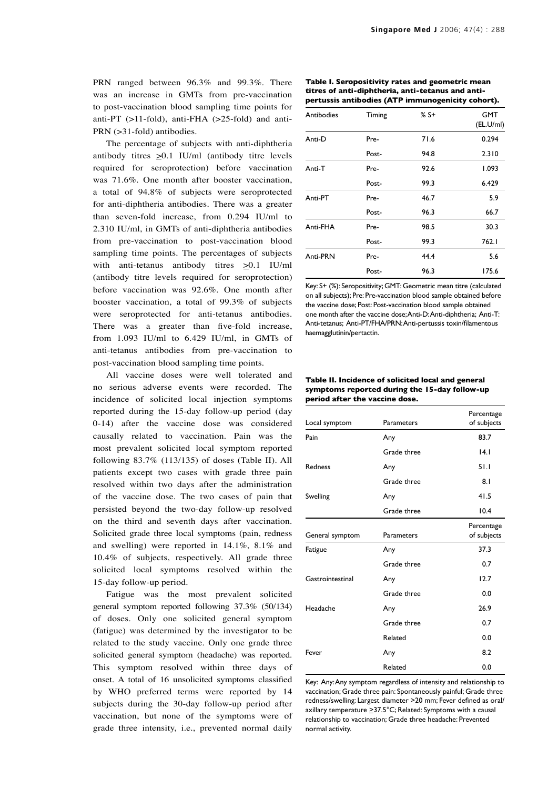PRN ranged between 96.3% and 99.3%. There was an increase in GMTs from pre-vaccination to post-vaccination blood sampling time points for anti-PT (>11-fold), anti-FHA (>25-fold) and anti-PRN (>31-fold) antibodies.

The percentage of subjects with anti-diphtheria antibody titres  $\geq 0.1$  IU/ml (antibody titre levels required for seroprotection) before vaccination was 71.6%. One month after booster vaccination, a total of 94.8% of subjects were seroprotected for anti-diphtheria antibodies. There was a greater than seven-fold increase, from 0.294 IU/ml to 2.310 IU/ml, in GMTs of anti-diphtheria antibodies from pre-vaccination to post-vaccination blood sampling time points. The percentages of subjects with anti-tetanus antibody titres  $\geq 0.1$  IU/ml (antibody titre levels required for seroprotection) before vaccination was 92.6%. One month after booster vaccination, a total of 99.3% of subjects were seroprotected for anti-tetanus antibodies. There was a greater than five-fold increase, from 1.093 IU/ml to 6.429 IU/ml, in GMTs of anti-tetanus antibodies from pre-vaccination to post-vaccination blood sampling time points.

All vaccine doses were well tolerated and no serious adverse events were recorded. The incidence of solicited local injection symptoms reported during the 15-day follow-up period (day 0-14) after the vaccine dose was considered causally related to vaccination. Pain was the most prevalent solicited local symptom reported following 83.7% (113/135) of doses (Table II). All patients except two cases with grade three pain resolved within two days after the administration of the vaccine dose. The two cases of pain that persisted beyond the two-day follow-up resolved on the third and seventh days after vaccination. Solicited grade three local symptoms (pain, redness and swelling) were reported in 14.1%, 8.1% and 10.4% of subjects, respectively. All grade three solicited local symptoms resolved within the 15-day follow-up period.

Fatigue was the most prevalent solicited general symptom reported following 37.3% (50/134) of doses. Only one solicited general symptom (fatigue) was determined by the investigator to be related to the study vaccine. Only one grade three solicited general symptom (headache) was reported. This symptom resolved within three days of onset. A total of 16 unsolicited symptoms classified by WHO preferred terms were reported by 14 subjects during the 30-day follow-up period after vaccination, but none of the symptoms were of grade three intensity, i.e., prevented normal daily

| Table I. Seropositivity rates and geometric mean  |
|---------------------------------------------------|
| titres of anti-diphtheria, anti-tetanus and anti- |
| pertussis antibodies (ATP immunogenicity cohort). |

| Antibodies | Timing | $%5+$ | <b>GMT</b><br>(EL.U/ml) |
|------------|--------|-------|-------------------------|
| Anti-D     | Pre-   | 71.6  | 0.294                   |
|            | Post-  | 94.8  | 2.310                   |
| Anti-T     | Pre-   | 92.6  | 1.093                   |
|            | Post-  | 99.3  | 6.429                   |
| Anti-PT    | Pre-   | 46.7  | 5.9                     |
|            | Post-  | 96.3  | 66.7                    |
| Anti-FHA   | Pre-   | 98.5  | 30.3                    |
|            | Post-  | 99.3  | 762. I                  |
| Anti-PRN   | Pre-   | 44.4  | 5.6                     |
|            | Post-  | 96.3  | 175.6                   |

Key: S+ (%): Seropositivity; GMT: Geometric mean titre (calculated on all subjects); Pre: Pre-vaccination blood sample obtained before the vaccine dose; Post: Post-vaccination blood sample obtained one month after the vaccine dose; Anti-D: Anti-diphtheria; Anti-T: Anti-tetanus; Anti-PT/FHA/PRN: Anti-pertussis toxin/filamentous haemagglutinin/pertactin.

**Table II. Incidence of solicited local and general symptoms reported during the 15-day follow-up period after the vaccine dose.** 

| Local symptom    | Parameters  | Percentage<br>of subjects |
|------------------|-------------|---------------------------|
| Pain             | Any         | 83.7                      |
|                  | Grade three | 4.1                       |
| <b>Redness</b>   | Any         | 51.1                      |
|                  | Grade three | 8.1                       |
| Swelling         | Any         | 41.5                      |
|                  | Grade three | 10.4                      |
| General symptom  | Parameters  | Percentage<br>of subjects |
| Fatigue          | Any         | 37.3                      |
|                  | Grade three | 0.7                       |
| Gastrointestinal | Any         | 12.7                      |
|                  | Grade three | 0.0                       |
| Headache         | Any         | 26.9                      |
|                  | Grade three | 0.7                       |
|                  | Related     | 0.0                       |
| Fever            | Any         | 8.2                       |
|                  | Related     | 0.0                       |

Key: Any: Any symptom regardless of intensity and relationship to vaccination; Grade three pain: Spontaneously painful; Grade three redness/swelling: Largest diameter >20 mm; Fever defined as oral/ axillary temperature  $\geq$ 37.5°C; Related: Symptoms with a causal relationship to vaccination; Grade three headache: Prevented normal activity.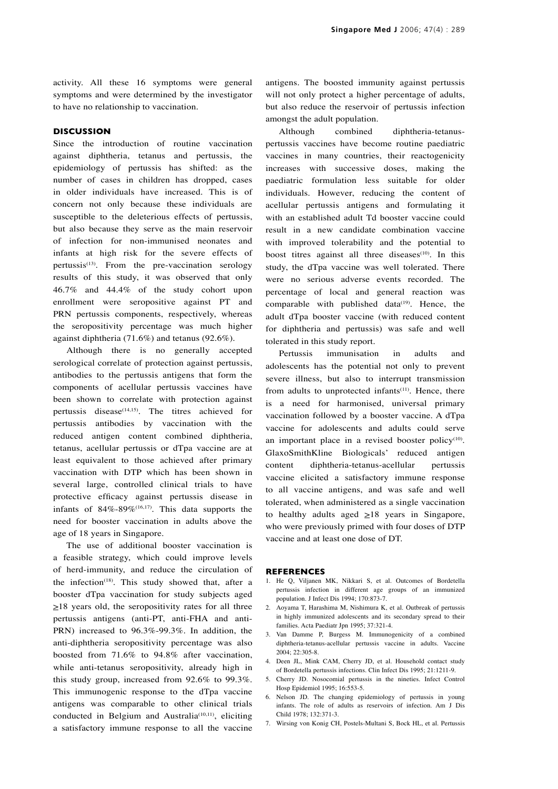activity. All these 16 symptoms were general symptoms and were determined by the investigator to have no relationship to vaccination.

#### **DISCUSSION**

Since the introduction of routine vaccination against diphtheria, tetanus and pertussis, the epidemiology of pertussis has shifted: as the number of cases in children has dropped, cases in older individuals have increased. This is of concern not only because these individuals are susceptible to the deleterious effects of pertussis, but also because they serve as the main reservoir of infection for non-immunised neonates and infants at high risk for the severe effects of pertussis<sup>(13)</sup>. From the pre-vaccination serology results of this study, it was observed that only 46.7% and 44.4% of the study cohort upon enrollment were seropositive against PT and PRN pertussis components, respectively, whereas the seropositivity percentage was much higher against diphtheria (71.6%) and tetanus (92.6%).

Although there is no generally accepted serological correlate of protection against pertussis, antibodies to the pertussis antigens that form the components of acellular pertussis vaccines have been shown to correlate with protection against pertussis disease<sup> $(14,15)$ </sup>. The titres achieved for pertussis antibodies by vaccination with the reduced antigen content combined diphtheria, tetanus, acellular pertussis or dTpa vaccine are at least equivalent to those achieved after primary vaccination with DTP which has been shown in several large, controlled clinical trials to have protective efficacy against pertussis disease in infants of  $84\% - 89\%$ <sup>(16,17)</sup>. This data supports the need for booster vaccination in adults above the age of 18 years in Singapore.

The use of additional booster vaccination is a feasible strategy, which could improve levels of herd-immunity, and reduce the circulation of the infection<sup>(18)</sup>. This study showed that, after a booster dTpa vaccination for study subjects aged  $\geq$ 18 years old, the seropositivity rates for all three pertussis antigens (anti-PT, anti-FHA and anti-PRN) increased to 96.3%-99.3%. In addition, the anti-diphtheria seropositivity percentage was also boosted from 71.6% to 94.8% after vaccination, while anti-tetanus seropositivity, already high in this study group, increased from 92.6% to 99.3%. This immunogenic response to the dTpa vaccine antigens was comparable to other clinical trials conducted in Belgium and Australia<sup>(10,11)</sup>, eliciting a satisfactory immune response to all the vaccine antigens. The boosted immunity against pertussis will not only protect a higher percentage of adults, but also reduce the reservoir of pertussis infection amongst the adult population.

Although combined diphtheria-tetanuspertussis vaccines have become routine paediatric vaccines in many countries, their reactogenicity increases with successive doses, making the paediatric formulation less suitable for older individuals. However, reducing the content of acellular pertussis antigens and formulating it with an established adult Td booster vaccine could result in a new candidate combination vaccine with improved tolerability and the potential to boost titres against all three diseases $(10)$ . In this study, the dTpa vaccine was well tolerated. There were no serious adverse events recorded. The percentage of local and general reaction was comparable with published data $(19)$ . Hence, the adult dTpa booster vaccine (with reduced content for diphtheria and pertussis) was safe and well tolerated in this study report.

Pertussis immunisation in adults and adolescents has the potential not only to prevent severe illness, but also to interrupt transmission from adults to unprotected infants $(11)$ . Hence, there is a need for harmonised, universal primary vaccination followed by a booster vaccine. A dTpa vaccine for adolescents and adults could serve an important place in a revised booster policy $(10)$ . GlaxoSmithKline Biologicals' reduced antigen content diphtheria-tetanus-acellular pertussis vaccine elicited a satisfactory immune response to all vaccine antigens, and was safe and well tolerated, when administered as a single vaccination to healthy adults aged  $\geq 18$  years in Singapore, who were previously primed with four doses of DTP vaccine and at least one dose of DT.

#### **REFERENCES**

- 1. He Q, Viljanen MK, Nikkari S, et al. Outcomes of Bordetella pertussis infection in different age groups of an immunized population. J Infect Dis 1994; 170:873-7.
- 2. Aoyama T, Harashima M, Nishimura K, et al. Outbreak of pertussis in highly immunized adolescents and its secondary spread to their families. Acta Paediatr Jpn 1995; 37:321-4.
- 3. Van Damme P, Burgess M. Immunogenicity of a combined diphtheria-tetanus-acellular pertussis vaccine in adults. Vaccine 2004; 22:305-8.
- 4. Deen JL, Mink CAM, Cherry JD, et al. Household contact study of Bordetella pertussis infections. Clin Infect Dis 1995; 21:1211-9.
- 5. Cherry JD. Nosocomial pertussis in the nineties. Infect Control Hosp Epidemiol 1995; 16:553-5.
- 6. Nelson JD. The changing epidemiology of pertussis in young infants. The role of adults as reservoirs of infection. Am J Dis Child 1978; 132:371-3.
- 7. Wirsing von Konig CH, Postels-Multani S, Bock HL, et al. Pertussis